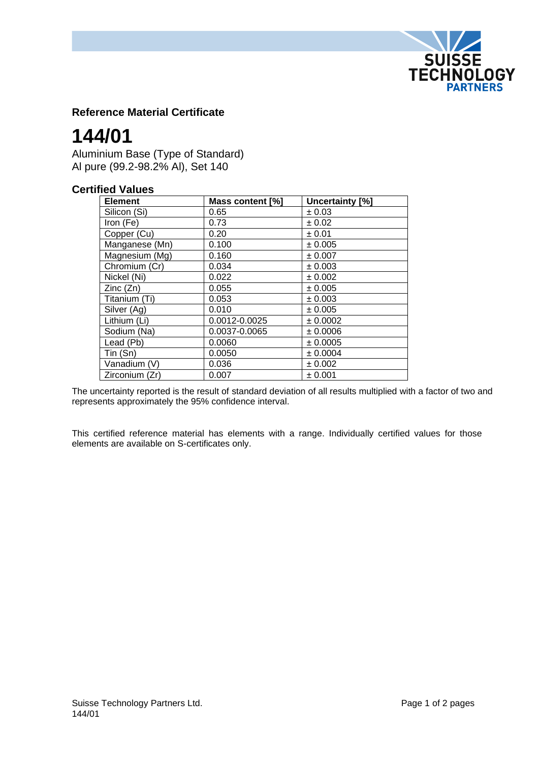

## **Reference Material Certificate**

# **144/01**

Aluminium Base (Type of Standard) Al pure (99.2-98.2% Al), Set 140

## **Certified Values**

| <b>Element</b> | Mass content [%] | Uncertainty [%] |
|----------------|------------------|-----------------|
| Silicon (Si)   | 0.65             | ± 0.03          |
| Iron (Fe)      | 0.73             | $\pm 0.02$      |
| Copper (Cu)    | 0.20             | ± 0.01          |
| Manganese (Mn) | 0.100            | ± 0.005         |
| Magnesium (Mg) | 0.160            | ± 0.007         |
| Chromium (Cr)  | 0.034            | ± 0.003         |
| Nickel (Ni)    | 0.022            | ± 0.002         |
| Zinc(Zn)       | 0.055            | ± 0.005         |
| Titanium (Ti)  | 0.053            | ± 0.003         |
| Silver (Ag)    | 0.010            | ± 0.005         |
| Lithium (Li)   | 0.0012-0.0025    | ± 0.0002        |
| Sodium (Na)    | 0.0037-0.0065    | ± 0.0006        |
| Lead (Pb)      | 0.0060           | ± 0.0005        |
| Tin(Sn)        | 0.0050           | ± 0.0004        |
| Vanadium (V)   | 0.036            | ± 0.002         |
| Zirconium (Zr) | 0.007            | ± 0.001         |

The uncertainty reported is the result of standard deviation of all results multiplied with a factor of two and represents approximately the 95% confidence interval.

This certified reference material has elements with a range. Individually certified values for those elements are available on S-certificates only.